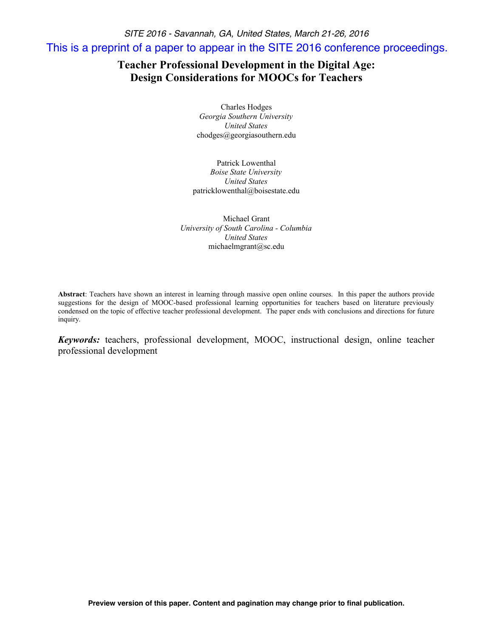*SITE 2016 - Savannah, GA, United States, March 21-26, 2016* This is a preprint of a paper to appear in the SITE 2016 conference proceedings.

# **Teacher Professional Development in the Digital Age: Design Considerations for MOOCs for Teachers**

Charles Hodges *Georgia Southern University United States* chodges@georgiasouthern.edu

Patrick Lowenthal *Boise State University United States* patricklowenthal@boisestate.edu

Michael Grant *University of South Carolina - Columbia United States* michaelmgrant@sc.edu

**Abstract**: Teachers have shown an interest in learning through massive open online courses. In this paper the authors provide suggestions for the design of MOOC-based professional learning opportunities for teachers based on literature previously condensed on the topic of effective teacher professional development. The paper ends with conclusions and directions for future inquiry.

*Keywords:* teachers, professional development, MOOC, instructional design, online teacher professional development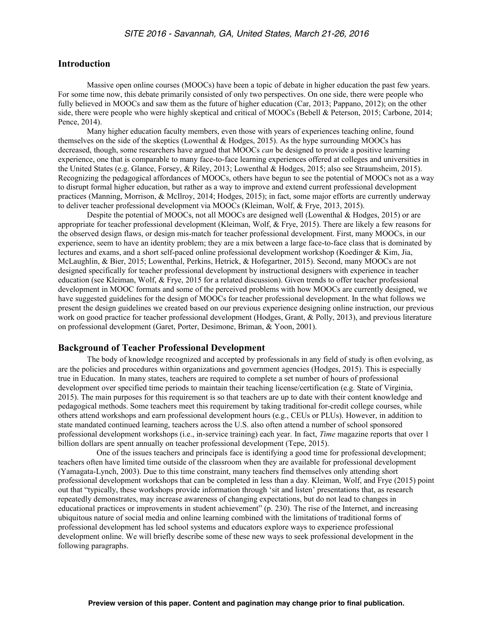## **Introduction**

Massive open online courses (MOOCs) have been a topic of debate in higher education the past few years. For some time now, this debate primarily consisted of only two perspectives. On one side, there were people who fully believed in MOOCs and saw them as the future of higher education (Car, 2013; Pappano, 2012); on the other side, there were people who were highly skeptical and critical of MOOCs (Bebell & Peterson, 2015; Carbone, 2014; Pence, 2014).

Many higher education faculty members, even those with years of experiences teaching online, found themselves on the side of the skeptics (Lowenthal & Hodges, 2015). As the hype surrounding MOOCs has decreased, though, some researchers have argued that MOOCs *can* be designed to provide a positive learning experience, one that is comparable to many face-to-face learning experiences offered at colleges and universities in the United States (e.g. Glance, Forsey, & Riley, 2013; Lowenthal & Hodges, 2015; also see Straumsheim, 2015). Recognizing the pedagogical affordances of MOOCs, others have begun to see the potential of MOOCs not as a way to disrupt formal higher education, but rather as a way to improve and extend current professional development practices (Manning, Morrison, & McIlroy, 2014; Hodges, 2015); in fact, some major efforts are currently underway to deliver teacher professional development via MOOCs (Kleiman, Wolf, & Frye, 2013, 2015).

Despite the potential of MOOCs, not all MOOCs are designed well (Lowenthal & Hodges, 2015) or are appropriate for teacher professional development (Kleiman, Wolf, & Frye, 2015). There are likely a few reasons for the observed design flaws, or design mis-match for teacher professional development. First, many MOOCs, in our experience, seem to have an identity problem; they are a mix between a large face-to-face class that is dominated by lectures and exams, and a short self-paced online professional development workshop (Koedinger & Kim, Jia, McLaughlin, & Bier, 2015; Lowenthal, Perkins, Hetrick, & Hofegartner, 2015). Second, many MOOCs are not designed specifically for teacher professional development by instructional designers with experience in teacher education (see Kleiman, Wolf, & Frye, 2015 for a related discussion). Given trends to offer teacher professional development in MOOC formats and some of the perceived problems with how MOOCs are currently designed, we have suggested guidelines for the design of MOOCs for teacher professional development. In the what follows we present the design guidelines we created based on our previous experience designing online instruction, our previous work on good practice for teacher professional development (Hodges, Grant, & Polly, 2013), and previous literature on professional development (Garet, Porter, Desimone, Briman, & Yoon, 2001).

### **Background of Teacher Professional Development**

The body of knowledge recognized and accepted by professionals in any field of study is often evolving, as are the policies and procedures within organizations and government agencies (Hodges, 2015). This is especially true in Education. In many states, teachers are required to complete a set number of hours of professional development over specified time periods to maintain their teaching license/certification (e.g. State of Virginia, 2015). The main purposes for this requirement is so that teachers are up to date with their content knowledge and pedagogical methods. Some teachers meet this requirement by taking traditional for-credit college courses, while others attend workshops and earn professional development hours (e.g., CEUs or PLUs). However, in addition to state mandated continued learning, teachers across the U.S. also often attend a number of school sponsored professional development workshops (i.e., in-service training) each year. In fact, *Time* magazine reports that over 1 billion dollars are spent annually on teacher professional development (Tepe, 2015).

One of the issues teachers and principals face is identifying a good time for professional development; teachers often have limited time outside of the classroom when they are available for professional development (Yamagata-Lynch, 2003). Due to this time constraint, many teachers find themselves only attending short professional development workshops that can be completed in less than a day. Kleiman, Wolf, and Frye (2015) point out that "typically, these workshops provide information through 'sit and listen' presentations that, as research repeatedly demonstrates, may increase awareness of changing expectations, but do not lead to changes in educational practices or improvements in student achievement" (p. 230). The rise of the Internet, and increasing ubiquitous nature of social media and online learning combined with the limitations of traditional forms of professional development has led school systems and educators explore ways to experience professional development online. We will briefly describe some of these new ways to seek professional development in the following paragraphs.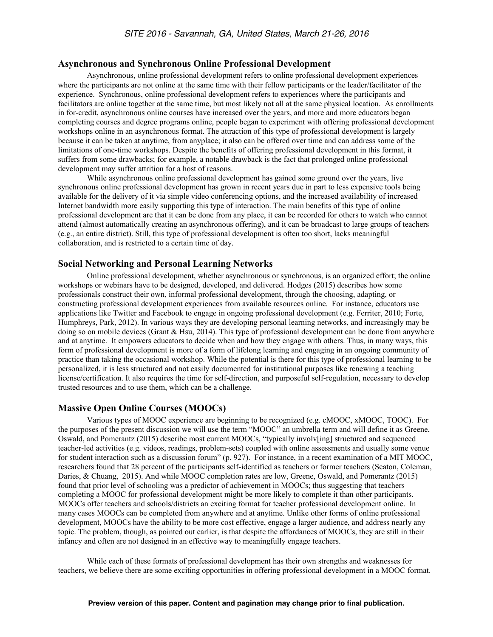### **Asynchronous and Synchronous Online Professional Development**

Asynchronous, online professional development refers to online professional development experiences where the participants are not online at the same time with their fellow participants or the leader/facilitator of the experience. Synchronous, online professional development refers to experiences where the participants and facilitators are online together at the same time, but most likely not all at the same physical location. As enrollments in for-credit, asynchronous online courses have increased over the years, and more and more educators began completing courses and degree programs online, people began to experiment with offering professional development workshops online in an asynchronous format. The attraction of this type of professional development is largely because it can be taken at anytime, from anyplace; it also can be offered over time and can address some of the limitations of one-time workshops. Despite the benefits of offering professional development in this format, it suffers from some drawbacks; for example, a notable drawback is the fact that prolonged online professional development may suffer attrition for a host of reasons.

While asynchronous online professional development has gained some ground over the years, live synchronous online professional development has grown in recent years due in part to less expensive tools being available for the delivery of it via simple video conferencing options, and the increased availability of increased Internet bandwidth more easily supporting this type of interaction. The main benefits of this type of online professional development are that it can be done from any place, it can be recorded for others to watch who cannot attend (almost automatically creating an asynchronous offering), and it can be broadcast to large groups of teachers (e.g., an entire district). Still, this type of professional development is often too short, lacks meaningful collaboration, and is restricted to a certain time of day.

### **Social Networking and Personal Learning Networks**

Online professional development, whether asynchronous or synchronous, is an organized effort; the online workshops or webinars have to be designed, developed, and delivered. Hodges (2015) describes how some professionals construct their own, informal professional development, through the choosing, adapting, or constructing professional development experiences from available resources online. For instance, educators use applications like Twitter and Facebook to engage in ongoing professional development (e.g. Ferriter, 2010; Forte, Humphreys, Park, 2012). In various ways they are developing personal learning networks, and increasingly may be doing so on mobile devices (Grant & Hsu, 2014). This type of professional development can be done from anywhere and at anytime. It empowers educators to decide when and how they engage with others. Thus, in many ways, this form of professional development is more of a form of lifelong learning and engaging in an ongoing community of practice than taking the occasional workshop. While the potential is there for this type of professional learning to be personalized, it is less structured and not easily documented for institutional purposes like renewing a teaching license/certification. It also requires the time for self-direction, and purposeful self-regulation, necessary to develop trusted resources and to use them, which can be a challenge.

## **Massive Open Online Courses (MOOCs)**

Various types of MOOC experience are beginning to be recognized (e.g. cMOOC, xMOOC, TOOC). For the purposes of the present discussion we will use the term "MOOC" an umbrella term and will define it as Greene, Oswald, and Pomerantz (2015) describe most current MOOCs, "typically involv[ing] structured and sequenced teacher-led activities (e.g. videos, readings, problem-sets) coupled with online assessments and usually some venue for student interaction such as a discussion forum" (p. 927). For instance, in a recent examination of a MIT MOOC, researchers found that 28 percent of the participants self-identified as teachers or former teachers (Seaton, Coleman, Daries, & Chuang, 2015). And while MOOC completion rates are low, Greene, Oswald, and Pomerantz (2015) found that prior level of schooling was a predictor of achievement in MOOCs; thus suggesting that teachers completing a MOOC for professional development might be more likely to complete it than other participants. MOOCs offer teachers and schools/districts an exciting format for teacher professional development online. In many cases MOOCs can be completed from anywhere and at anytime. Unlike other forms of online professional development, MOOCs have the ability to be more cost effective, engage a larger audience, and address nearly any topic. The problem, though, as pointed out earlier, is that despite the affordances of MOOCs, they are still in their infancy and often are not designed in an effective way to meaningfully engage teachers.

While each of these formats of professional development has their own strengths and weaknesses for teachers, we believe there are some exciting opportunities in offering professional development in a MOOC format.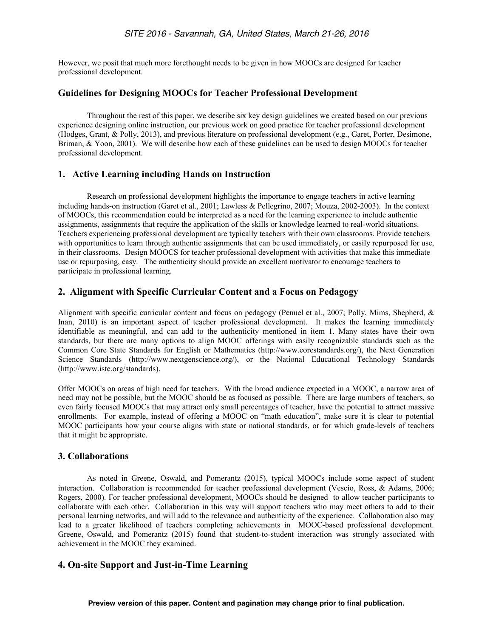However, we posit that much more forethought needs to be given in how MOOCs are designed for teacher professional development.

## **Guidelines for Designing MOOCs for Teacher Professional Development**

Throughout the rest of this paper, we describe six key design guidelines we created based on our previous experience designing online instruction, our previous work on good practice for teacher professional development (Hodges, Grant, & Polly, 2013), and previous literature on professional development (e.g., Garet, Porter, Desimone, Briman, & Yoon, 2001). We will describe how each of these guidelines can be used to design MOOCs for teacher professional development.

## **1. Active Learning including Hands on Instruction**

Research on professional development highlights the importance to engage teachers in active learning including hands-on instruction (Garet et al., 2001; Lawless & Pellegrino, 2007; Mouza, 2002-2003). In the context of MOOCs, this recommendation could be interpreted as a need for the learning experience to include authentic assignments, assignments that require the application of the skills or knowledge learned to real-world situations. Teachers experiencing professional development are typically teachers with their own classrooms. Provide teachers with opportunities to learn through authentic assignments that can be used immediately, or easily repurposed for use, in their classrooms. Design MOOCS for teacher professional development with activities that make this immediate use or repurposing, easy. The authenticity should provide an excellent motivator to encourage teachers to participate in professional learning.

## **2. Alignment with Specific Curricular Content and a Focus on Pedagogy**

Alignment with specific curricular content and focus on pedagogy (Penuel et al., 2007; Polly, Mims, Shepherd, & Inan, 2010) is an important aspect of teacher professional development. It makes the learning immediately identifiable as meaningful, and can add to the authenticity mentioned in item 1. Many states have their own standards, but there are many options to align MOOC offerings with easily recognizable standards such as the Common Core State Standards for English or Mathematics (http://www.corestandards.org/), the Next Generation Science Standards (http://www.nextgenscience.org/), or the National Educational Technology Standards (http://www.iste.org/standards).

Offer MOOCs on areas of high need for teachers. With the broad audience expected in a MOOC, a narrow area of need may not be possible, but the MOOC should be as focused as possible. There are large numbers of teachers, so even fairly focused MOOCs that may attract only small percentages of teacher, have the potential to attract massive enrollments. For example, instead of offering a MOOC on "math education", make sure it is clear to potential MOOC participants how your course aligns with state or national standards, or for which grade-levels of teachers that it might be appropriate.

## **3. Collaborations**

As noted in Greene, Oswald, and Pomerantz (2015), typical MOOCs include some aspect of student interaction. Collaboration is recommended for teacher professional development (Vescio, Ross, & Adams, 2006; Rogers, 2000). For teacher professional development, MOOCs should be designed to allow teacher participants to collaborate with each other. Collaboration in this way will support teachers who may meet others to add to their personal learning networks, and will add to the relevance and authenticity of the experience. Collaboration also may lead to a greater likelihood of teachers completing achievements in MOOC-based professional development. Greene, Oswald, and Pomerantz (2015) found that student-to-student interaction was strongly associated with achievement in the MOOC they examined.

# **4. On-site Support and Just-in-Time Learning**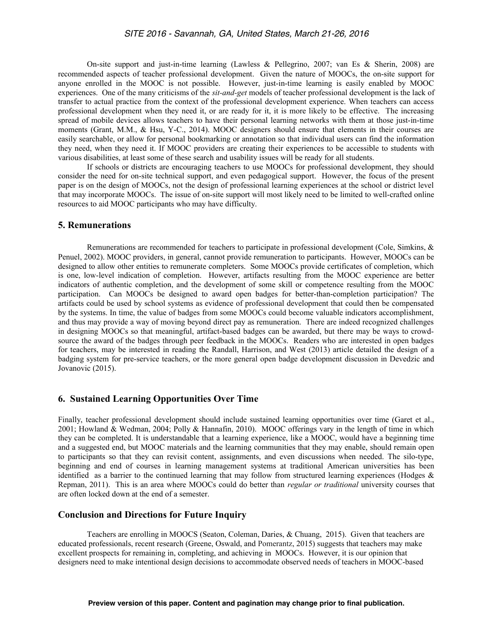On-site support and just-in-time learning (Lawless & Pellegrino, 2007; van Es & Sherin, 2008) are recommended aspects of teacher professional development. Given the nature of MOOCs, the on-site support for anyone enrolled in the MOOC is not possible. However, just-in-time learning is easily enabled by MOOC experiences. One of the many criticisms of the *sit-and-get* models of teacher professional development is the lack of transfer to actual practice from the context of the professional development experience. When teachers can access professional development when they need it, or are ready for it, it is more likely to be effective. The increasing spread of mobile devices allows teachers to have their personal learning networks with them at those just-in-time moments (Grant, M.M., & Hsu, Y-C., 2014). MOOC designers should ensure that elements in their courses are easily searchable, or allow for personal bookmarking or annotation so that individual users can find the information they need, when they need it. If MOOC providers are creating their experiences to be accessible to students with various disabilities, at least some of these search and usability issues will be ready for all students.

If schools or districts are encouraging teachers to use MOOCs for professional development, they should consider the need for on-site technical support, and even pedagogical support. However, the focus of the present paper is on the design of MOOCs, not the design of professional learning experiences at the school or district level that may incorporate MOOCs. The issue of on-site support will most likely need to be limited to well-crafted online resources to aid MOOC participants who may have difficulty.

#### **5. Remunerations**

Remunerations are recommended for teachers to participate in professional development (Cole, Simkins, & Penuel, 2002). MOOC providers, in general, cannot provide remuneration to participants. However, MOOCs can be designed to allow other entities to remunerate completers. Some MOOCs provide certificates of completion, which is one, low-level indication of completion. However, artifacts resulting from the MOOC experience are better indicators of authentic completion, and the development of some skill or competence resulting from the MOOC participation. Can MOOCs be designed to award open badges for better-than-completion participation? The artifacts could be used by school systems as evidence of professional development that could then be compensated by the systems. In time, the value of badges from some MOOCs could become valuable indicators accomplishment, and thus may provide a way of moving beyond direct pay as remuneration. There are indeed recognized challenges in designing MOOCs so that meaningful, artifact-based badges can be awarded, but there may be ways to crowdsource the award of the badges through peer feedback in the MOOCs. Readers who are interested in open badges for teachers, may be interested in reading the Randall, Harrison, and West (2013) article detailed the design of a badging system for pre-service teachers, or the more general open badge development discussion in Devedzic and Jovanovic (2015).

### **6. Sustained Learning Opportunities Over Time**

Finally, teacher professional development should include sustained learning opportunities over time (Garet et al., 2001; Howland & Wedman, 2004; Polly & Hannafin, 2010). MOOC offerings vary in the length of time in which they can be completed. It is understandable that a learning experience, like a MOOC, would have a beginning time and a suggested end, but MOOC materials and the learning communities that they may enable, should remain open to participants so that they can revisit content, assignments, and even discussions when needed. The silo-type, beginning and end of courses in learning management systems at traditional American universities has been identified as a barrier to the continued learning that may follow from structured learning experiences (Hodges  $\&$ Repman, 2011). This is an area where MOOCs could do better than *regular or traditional* university courses that are often locked down at the end of a semester.

## **Conclusion and Directions for Future Inquiry**

Teachers are enrolling in MOOCS (Seaton, Coleman, Daries, & Chuang, 2015). Given that teachers are educated professionals, recent research (Greene, Oswald, and Pomerantz, 2015) suggests that teachers may make excellent prospects for remaining in, completing, and achieving in MOOCs. However, it is our opinion that designers need to make intentional design decisions to accommodate observed needs of teachers in MOOC-based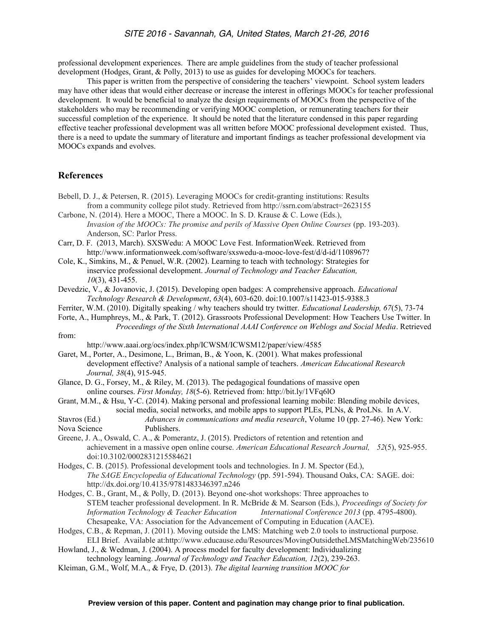professional development experiences. There are ample guidelines from the study of teacher professional development (Hodges, Grant, & Polly, 2013) to use as guides for developing MOOCs for teachers.

This paper is written from the perspective of considering the teachers' viewpoint. School system leaders may have other ideas that would either decrease or increase the interest in offerings MOOCs for teacher professional development. It would be beneficial to analyze the design requirements of MOOCs from the perspective of the stakeholders who may be recommending or verifying MOOC completion, or remunerating teachers for their successful completion of the experience. It should be noted that the literature condensed in this paper regarding effective teacher professional development was all written before MOOC professional development existed. Thus, there is a need to update the summary of literature and important findings as teacher professional development via MOOCs expands and evolves.

## **References**

- Bebell, D. J., & Petersen, R. (2015). Leveraging MOOCs for credit-granting institutions: Results from a community college pilot study. Retrieved from http://ssrn.com/abstract=2623155
- Carbone, N. (2014). Here a MOOC, There a MOOC. In S. D. Krause & C. Lowe (Eds.), *Invasion of the MOOCs: The promise and perils of Massive Open Online Courses* (pp. 193-203). Anderson, SC: Parlor Press.
- Carr, D. F. (2013, March). SXSWedu: A MOOC Love Fest. InformationWeek. Retrieved from http://www.informationweek.com/software/sxswedu-a-mooc-love-fest/d/d-id/1108967?
- Cole, K., Simkins, M., & Penuel, W.R. (2002). Learning to teach with technology: Strategies for inservice professional development. *Journal of Technology and Teacher Education, 10*(3), 431-455.
- Devedzic, V., & Jovanovic, J. (2015). Developing open badges: A comprehensive approach. *Educational Technology Research & Development*, *63*(4), 603-620. doi:10.1007/s11423-015-9388.3
- Ferriter, W.M. (2010). Digitally speaking / why teachers should try twitter. *Educational Leadership, 67*(5), 73-74
- Forte, A., Humphreys, M., & Park, T. (2012). Grassroots Professional Development: How Teachers Use Twitter. In *Proceedings of the Sixth International AAAI Conference on Weblogs and Social Media*. Retrieved

from:

http://www.aaai.org/ocs/index.php/ICWSM/ICWSM12/paper/view/4585

- Garet, M., Porter, A., Desimone, L., Briman, B., & Yoon, K. (2001). What makes professional development effective? Analysis of a national sample of teachers. *American Educational Research Journal, 38*(4), 915-945.
- Glance, D. G., Forsey, M., & Riley, M. (2013). The pedagogical foundations of massive open online courses. *First Monday, 18*(5-6). Retrieved from: http://bit.ly/1VFq6lO
- Grant, M.M., & Hsu, Y-C. (2014). Making personal and professional learning mobile: Blending mobile devices, social media, social networks, and mobile apps to support PLEs, PLNs, & ProLNs. In A.V.
- Stavros (Ed.) *Advances in communications and media research*, Volume 10 (pp. 27-46). New York: Nova Science Publishers.
- Greene, J. A., Oswald, C. A., & Pomerantz, J. (2015). Predictors of retention and retention and achievement in a massive open online course. *American Educational Research Journal, 52*(5), 925-955. doi:10.3102/0002831215584621
- Hodges, C. B. (2015). Professional development tools and technologies. In J. M. Spector (Ed.), *The SAGE Encyclopedia of Educational Technology* (pp. 591-594). Thousand Oaks, CA: SAGE. doi: http://dx.doi.org/10.4135/9781483346397.n246
- Hodges, C. B., Grant, M., & Polly, D. (2013). Beyond one-shot workshops: Three approaches to STEM teacher professional development. In R. McBride & M. Searson (Eds.), *Proceedings of Society for Information Technology & Teacher Education International Conference 2013* (pp. 4795-4800). Chesapeake, VA: Association for the Advancement of Computing in Education (AACE).
- Hodges, C.B., & Repman, J. (2011). Moving outside the LMS: Matching web 2.0 tools to instructional purpose. ELI Brief. Available at:http://www.educause.edu/Resources/MovingOutsidetheLMSMatchingWeb/235610
- Howland, J., & Wedman, J. (2004). A process model for faculty development: Individualizing technology learning. *Journal of Technology and Teacher Education, 12*(2), 239-263.
- Kleiman, G.M., Wolf, M.A., & Frye, D. (2013). *The digital learning transition MOOC for*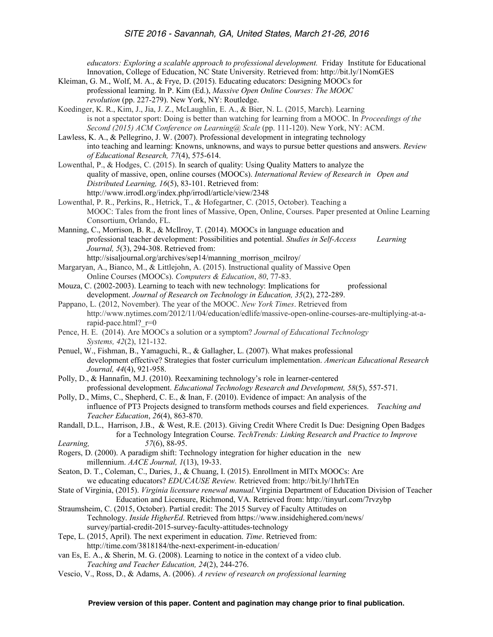*educators: Exploring a scalable approach to professional development.* Friday Institute for Educational Innovation, College of Education, NC State University. Retrieved from: http://bit.ly/1NomGES Kleiman, G. M., Wolf, M. A., & Frye, D. (2015). Educating educators: Designing MOOCs for professional learning. In P. Kim (Ed.), *Massive Open Online Courses: The MOOC revolution* (pp. 227-279). New York, NY: Routledge. Koedinger, K. R., Kim, J., Jia, J. Z., McLaughlin, E. A., & Bier, N. L. (2015, March). Learning is not a spectator sport: Doing is better than watching for learning from a MOOC. In *Proceedings of the Second (2015) ACM Conference on Learning@ Scale* (pp. 111-120). New York, NY: ACM. Lawless, K. A., & Pellegrino, J. W. (2007). Professional development in integrating technology into teaching and learning: Knowns, unknowns, and ways to pursue better questions and answers. *Review of Educational Research, 77*(4), 575-614. Lowenthal, P., & Hodges, C. (2015). In search of quality: Using Quality Matters to analyze the quality of massive, open, online courses (MOOCs). *International Review of Research in Open and Distributed Learning, 16*(5), 83-101. Retrieved from: http://www.irrodl.org/index.php/irrodl/article/view/2348 Lowenthal, P. R., Perkins, R., Hetrick, T., & Hofegartner, C. (2015, October). Teaching a MOOC: Tales from the front lines of Massive, Open, Online, Courses. Paper presented at Online Learning Consortium, Orlando, FL. Manning, C., Morrison, B. R., & McIlroy, T. (2014). MOOCs in language education and professional teacher development: Possibilities and potential. *Studies in Self-Access Learning Journal, 5*(3), 294-308. Retrieved from: http://sisaljournal.org/archives/sep14/manning\_morrison\_mcilroy/ Margaryan, A., Bianco, M., & Littlejohn, A. (2015). Instructional quality of Massive Open Online Courses (MOOCs). *Computers & Education*, *80*, 77-83. Mouza, C. (2002-2003). Learning to teach with new technology: Implications for professional development. *Journal of Research on Technology in Education, 35*(2), 272-289. Pappano, L. (2012, November). The year of the MOOC. *New York Times*. Retrieved from http://www.nytimes.com/2012/11/04/education/edlife/massive-open-online-courses-are-multiplying-at-arapid-pace.html? r=0 Pence, H. E. (2014). Are MOOCs a solution or a symptom? *Journal of Educational Technology Systems, 42*(2), 121-132. Penuel, W., Fishman, B., Yamaguchi, R., & Gallagher, L. (2007). What makes professional development effective? Strategies that foster curriculum implementation. *American Educational Research Journal, 44*(4), 921-958. Polly, D., & Hannafin, M.J. (2010). Reexamining technology's role in learner-centered professional development. *Educational Technology Research and Development, 58*(5), 557-571. Polly, D., Mims, C., Shepherd, C. E., & Inan, F. (2010). Evidence of impact: An analysis of the influence of PT3 Projects designed to transform methods courses and field experiences. *Teaching and Teacher Education*, *26*(4), 863-870. Randall, D.L., Harrison, J.B., & West, R.E. (2013). Giving Credit Where Credit Is Due: Designing Open Badges for a Technology Integration Course. *TechTrends: Linking Research and Practice to Improve Learning, 57*(6), 88-95. Rogers, D. (2000). A paradigm shift: Technology integration for higher education in the new millennium. *AACE Journal, 1*(13), 19-33. Seaton, D. T., Coleman, C., Daries, J., & Chuang, I. (2015). Enrollment in MITx MOOCs: Are we educating educators? *EDUCAUSE Review.* Retrieved from: http://bit.ly/1hrhTEn State of Virginia, (2015). *Virginia licensure renewal manual.*Virginia Department of Education Division of Teacher Education and Licensure, Richmond, VA. Retrieved from: http://tinyurl.com/7rvzybp Straumsheim, C. (2015, October). Partial credit: The 2015 Survey of Faculty Attitudes on Technology. *Inside HigherEd*. Retrieved from https://www.insidehighered.com/news/ survey/partial-credit-2015-survey-faculty-attitudes-technology Tepe, L. (2015, April). The next experiment in education. *Time*. Retrieved from: http://time.com/3818184/the-next-experiment-in-education/ van Es, E. A., & Sherin, M. G. (2008). Learning to notice in the context of a video club.

*Teaching and Teacher Education, 24*(2), 244-276.

Vescio, V., Ross, D., & Adams, A. (2006). *A review of research on professional learning*